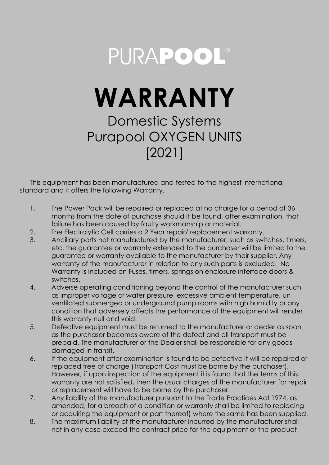## PURAPOOL®

## **WARRANTY** Domestic Systems Purapool OXYGEN UNITS [2021]

This equipment has been manufactured and tested to the highest International standard and it offers the following Warranty.

- 1. The Power Pack will be repaired or replaced at no charge for a period of 36 months from the date of purchase should it be found, after examination, that failure has been caused by faulty workmanship or material.
- 2. The Electrolytic Cell carries a 2 Year repair/ replacement warranty.
- 3. Ancillary parts not manufactured by the manufacturer, such as switches, timers, etc. the guarantee or warranty extended to the purchaser will be limited to the guarantee or warranty available to the manufacturer by their supplier. Any warranty of the manufacturer in relation to any such parts is excluded. No Warranty is included on Fuses, timers, springs on enclosure interface doors & switches.
- 4. Adverse operating conditioning beyond the control of the manufacturer such as improper voltage or water pressure, excessive ambient temperature, un ventilated submerged or underground pump rooms with high humidity or any condition that adversely affects the performance of the equipment will render this warranty null and void.
- 5. Defective equipment must be returned to the manufacturer or dealer as soon as the purchaser becomes aware of the defect and all transport must be prepaid. The manufacturer or the Dealer shall be responsible for any goods damaged in transit.
- 6. If the equipment after examination is found to be defective it will be repaired or replaced free of charge (Transport Cost must be borne by the purchaser). However, if upon inspection of the equipment it is found that the terms of this warranty are not satisfied, then the usual charges of the manufacturer for repair or replacement will have to be borne by the purchaser.
- 7. Any liability of the manufacturer pursuant to the Trade Practices Act 1974, as amended, for a breach of a condition or warranty shall be limited to replacing or acquiring the equipment or part thereof) where the same has been supplied.
- 8. The maximum liability of the manufacturer incurred by the manufacturer shall not in any case exceed the contract price for the equipment or the product